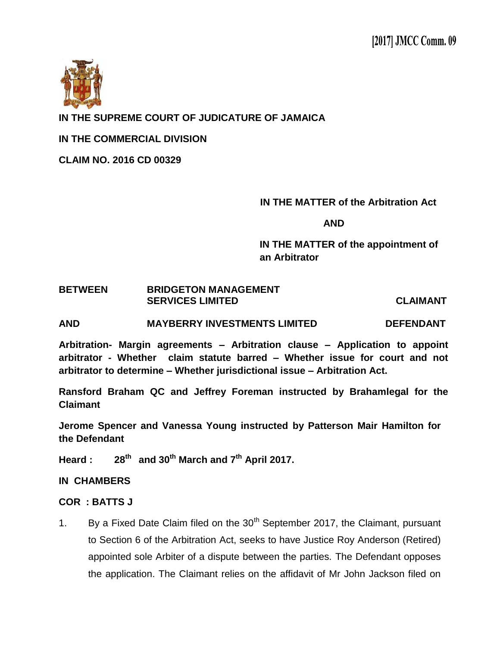

**IN THE SUPREME COURT OF JUDICATURE OF JAMAICA**

**IN THE COMMERCIAL DIVISION**

**CLAIM NO. 2016 CD 00329**

## **IN THE MATTER of the Arbitration Act**

**AND**

 **IN THE MATTER of the appointment of an Arbitrator** 

## **BETWEEN BRIDGETON MANAGEMENT SERVICES LIMITED CLAIMANT**

**AND MAYBERRY INVESTMENTS LIMITED DEFENDANT**

**Arbitration- Margin agreements – Arbitration clause – Application to appoint arbitrator - Whether claim statute barred – Whether issue for court and not arbitrator to determine – Whether jurisdictional issue – Arbitration Act.**

**Ransford Braham QC and Jeffrey Foreman instructed by Brahamlegal for the Claimant**

**Jerome Spencer and Vanessa Young instructed by Patterson Mair Hamilton for the Defendant**

**Heard : 28th and 30th March and 7th April 2017.**

## **IN CHAMBERS**

## **COR : BATTS J**

1. By a Fixed Date Claim filed on the  $30<sup>th</sup>$  September 2017, the Claimant, pursuant to Section 6 of the Arbitration Act, seeks to have Justice Roy Anderson (Retired) appointed sole Arbiter of a dispute between the parties. The Defendant opposes the application. The Claimant relies on the affidavit of Mr John Jackson filed on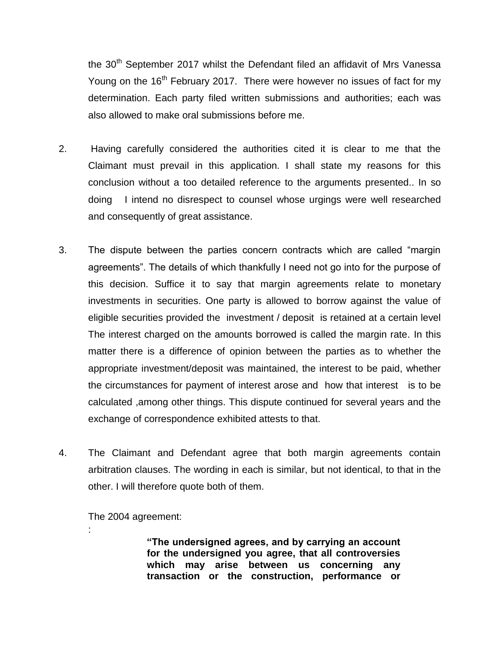the 30<sup>th</sup> September 2017 whilst the Defendant filed an affidavit of Mrs Vanessa Young on the  $16<sup>th</sup>$  February 2017. There were however no issues of fact for my determination. Each party filed written submissions and authorities; each was also allowed to make oral submissions before me.

- 2. Having carefully considered the authorities cited it is clear to me that the Claimant must prevail in this application. I shall state my reasons for this conclusion without a too detailed reference to the arguments presented.. In so doing I intend no disrespect to counsel whose urgings were well researched and consequently of great assistance.
- 3. The dispute between the parties concern contracts which are called "margin agreements". The details of which thankfully I need not go into for the purpose of this decision. Suffice it to say that margin agreements relate to monetary investments in securities. One party is allowed to borrow against the value of eligible securities provided the investment / deposit is retained at a certain level The interest charged on the amounts borrowed is called the margin rate. In this matter there is a difference of opinion between the parties as to whether the appropriate investment/deposit was maintained, the interest to be paid, whether the circumstances for payment of interest arose and how that interest is to be calculated ,among other things. This dispute continued for several years and the exchange of correspondence exhibited attests to that.
- 4. The Claimant and Defendant agree that both margin agreements contain arbitration clauses. The wording in each is similar, but not identical, to that in the other. I will therefore quote both of them.

The 2004 agreement:

:

**"The undersigned agrees, and by carrying an account for the undersigned you agree, that all controversies which may arise between us concerning any transaction or the construction, performance or**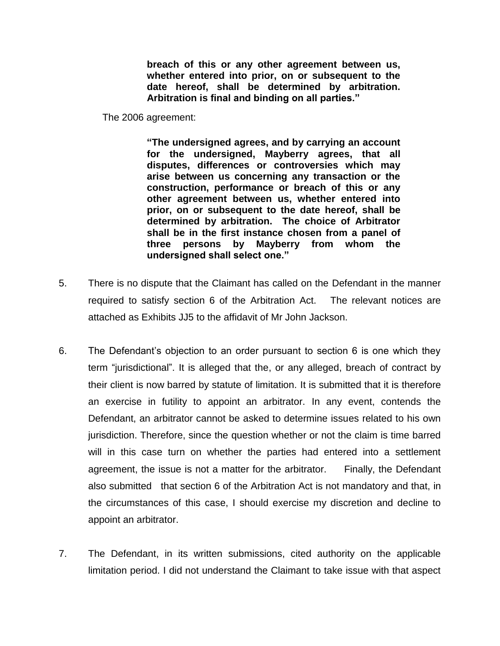**breach of this or any other agreement between us, whether entered into prior, on or subsequent to the date hereof, shall be determined by arbitration. Arbitration is final and binding on all parties."**

The 2006 agreement:

**"The undersigned agrees, and by carrying an account for the undersigned, Mayberry agrees, that all disputes, differences or controversies which may arise between us concerning any transaction or the construction, performance or breach of this or any other agreement between us, whether entered into prior, on or subsequent to the date hereof, shall be determined by arbitration. The choice of Arbitrator shall be in the first instance chosen from a panel of three persons by Mayberry from whom the undersigned shall select one."** 

- 5. There is no dispute that the Claimant has called on the Defendant in the manner required to satisfy section 6 of the Arbitration Act. The relevant notices are attached as Exhibits JJ5 to the affidavit of Mr John Jackson.
- 6. The Defendant's objection to an order pursuant to section 6 is one which they term "jurisdictional". It is alleged that the, or any alleged, breach of contract by their client is now barred by statute of limitation. It is submitted that it is therefore an exercise in futility to appoint an arbitrator. In any event, contends the Defendant, an arbitrator cannot be asked to determine issues related to his own jurisdiction. Therefore, since the question whether or not the claim is time barred will in this case turn on whether the parties had entered into a settlement agreement, the issue is not a matter for the arbitrator. Finally, the Defendant also submitted that section 6 of the Arbitration Act is not mandatory and that, in the circumstances of this case, I should exercise my discretion and decline to appoint an arbitrator.
- 7. The Defendant, in its written submissions, cited authority on the applicable limitation period. I did not understand the Claimant to take issue with that aspect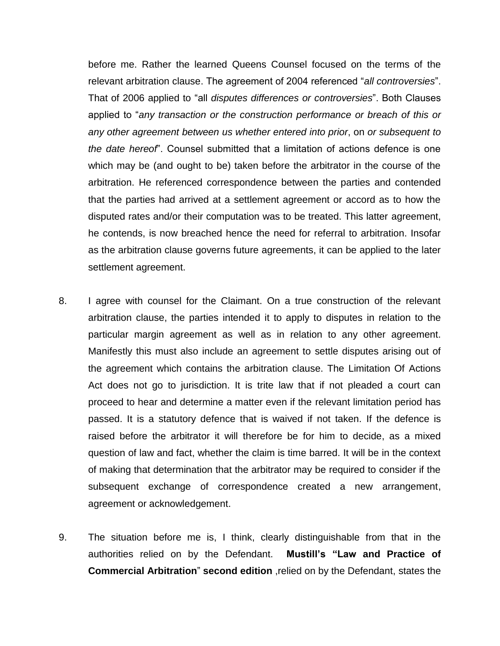before me. Rather the learned Queens Counsel focused on the terms of the relevant arbitration clause. The agreement of 2004 referenced "*all controversies*". That of 2006 applied to "all *disputes differences or controversies*". Both Clauses applied to "*any transaction or the construction performance or breach of this or any other agreement between us whether entered into prior*, on *or subsequent to the date hereof*". Counsel submitted that a limitation of actions defence is one which may be (and ought to be) taken before the arbitrator in the course of the arbitration. He referenced correspondence between the parties and contended that the parties had arrived at a settlement agreement or accord as to how the disputed rates and/or their computation was to be treated. This latter agreement, he contends, is now breached hence the need for referral to arbitration. Insofar as the arbitration clause governs future agreements, it can be applied to the later settlement agreement.

- 8. I agree with counsel for the Claimant. On a true construction of the relevant arbitration clause, the parties intended it to apply to disputes in relation to the particular margin agreement as well as in relation to any other agreement. Manifestly this must also include an agreement to settle disputes arising out of the agreement which contains the arbitration clause. The Limitation Of Actions Act does not go to jurisdiction. It is trite law that if not pleaded a court can proceed to hear and determine a matter even if the relevant limitation period has passed. It is a statutory defence that is waived if not taken. If the defence is raised before the arbitrator it will therefore be for him to decide, as a mixed question of law and fact, whether the claim is time barred. It will be in the context of making that determination that the arbitrator may be required to consider if the subsequent exchange of correspondence created a new arrangement, agreement or acknowledgement.
- 9. The situation before me is, I think, clearly distinguishable from that in the authorities relied on by the Defendant. **Mustill's "Law and Practice of Commercial Arbitration**" **second edition** ,relied on by the Defendant, states the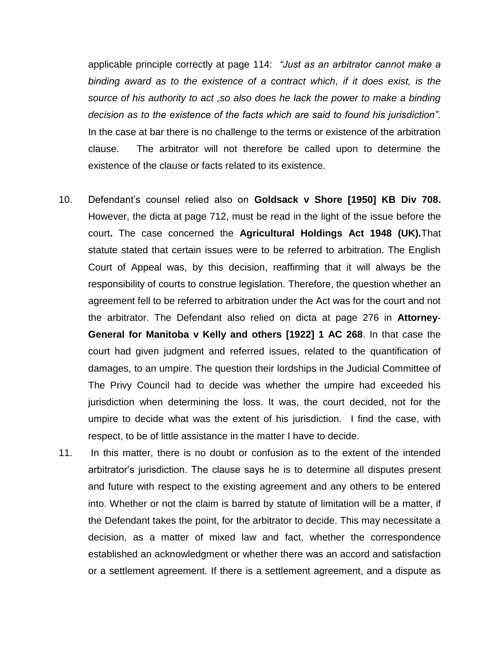applicable principle correctly at page 114: *"Just as an arbitrator cannot make a binding award as to the existence of a contract which, if it does exist, is the source of his authority to act ,so also does he lack the power to make a binding decision as to the existence of the facts which are said to found his jurisdiction".*  In the case at bar there is no challenge to the terms or existence of the arbitration clause. The arbitrator will not therefore be called upon to determine the existence of the clause or facts related to its existence.

- 10. Defendant's counsel relied also on **Goldsack v Shore [1950] KB Div 708.**  However, the dicta at page 712, must be read in the light of the issue before the court**.** The case concerned the **Agricultural Holdings Act 1948 (UK).**That statute stated that certain issues were to be referred to arbitration. The English Court of Appeal was, by this decision, reaffirming that it will always be the responsibility of courts to construe legislation. Therefore, the question whether an agreement fell to be referred to arbitration under the Act was for the court and not the arbitrator. The Defendant also relied on dicta at page 276 in **Attorney**-**General for Manitoba v Kelly and others [1922] 1 AC 268**. In that case the court had given judgment and referred issues, related to the quantification of damages, to an umpire. The question their lordships in the Judicial Committee of The Privy Council had to decide was whether the umpire had exceeded his jurisdiction when determining the loss. It was, the court decided, not for the umpire to decide what was the extent of his jurisdiction. I find the case, with respect, to be of little assistance in the matter I have to decide.
- 11. In this matter, there is no doubt or confusion as to the extent of the intended arbitrator's jurisdiction. The clause says he is to determine all disputes present and future with respect to the existing agreement and any others to be entered into. Whether or not the claim is barred by statute of limitation will be a matter, if the Defendant takes the point, for the arbitrator to decide. This may necessitate a decision, as a matter of mixed law and fact, whether the correspondence established an acknowledgment or whether there was an accord and satisfaction or a settlement agreement. If there is a settlement agreement, and a dispute as